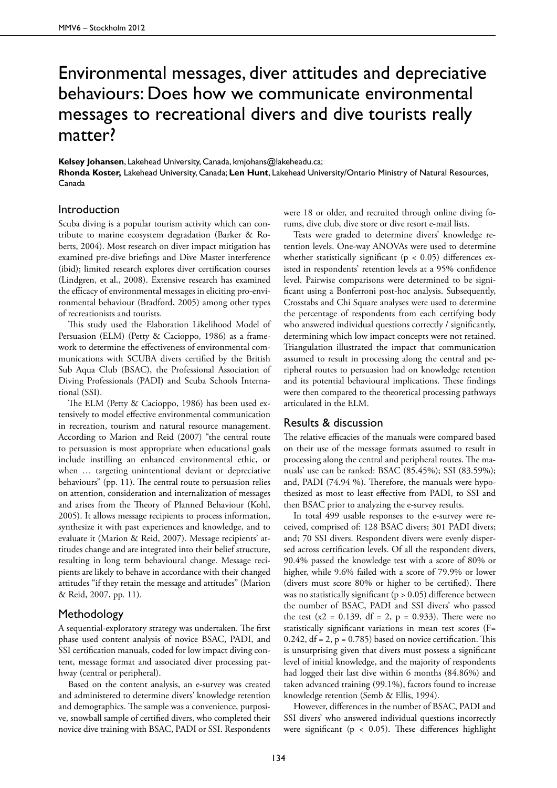# Environmental messages, diver attitudes and depreciative behaviours: Does how we communicate environmental messages to recreational divers and dive tourists really matter?

**Kelsey Johansen**, Lakehead University, Canada, kmjohans@lakeheadu.ca; **Rhonda Koster,** Lakehead University, Canada; **Len Hunt**, Lakehead University/Ontario Ministry of Natural Resources, Canada

### Introduction

Scuba diving is a popular tourism activity which can contribute to marine ecosystem degradation (Barker & Roberts, 2004). Most research on diver impact mitigation has examined pre-dive briefings and Dive Master interference (ibid); limited research explores diver certification courses (Lindgren, et al., 2008). Extensive research has examined the efficacy of environmental messages in eliciting pro-environmental behaviour (Bradford, 2005) among other types of recreationists and tourists.

This study used the Elaboration Likelihood Model of Persuasion (ELM) (Petty & Cacioppo, 1986) as a framework to determine the effectiveness of environmental communications with SCUBA divers certified by the British Sub Aqua Club (BSAC), the Professional Association of Diving Professionals (PADI) and Scuba Schools International (SSI).

The ELM (Petty & Cacioppo, 1986) has been used extensively to model effective environmental communication in recreation, tourism and natural resource management. According to Marion and Reid (2007) "the central route to persuasion is most appropriate when educational goals include instilling an enhanced environmental ethic, or when … targeting unintentional deviant or depreciative behaviours" (pp. 11). The central route to persuasion relies on attention, consideration and internalization of messages and arises from the Theory of Planned Behaviour (Kohl, 2005). It allows message recipients to process information, synthesize it with past experiences and knowledge, and to evaluate it (Marion & Reid, 2007). Message recipients' attitudes change and are integrated into their belief structure, resulting in long term behavioural change. Message recipients are likely to behave in accordance with their changed attitudes "if they retain the message and attitudes" (Marion & Reid, 2007, pp. 11).

#### Methodology

A sequential-exploratory strategy was undertaken. The first phase used content analysis of novice BSAC, PADI, and SSI certification manuals, coded for low impact diving content, message format and associated diver processing pathway (central or peripheral).

Based on the content analysis, an e-survey was created and administered to determine divers' knowledge retention and demographics. The sample was a convenience, purposive, snowball sample of certified divers, who completed their novice dive training with BSAC, PADI or SSI. Respondents were 18 or older, and recruited through online diving forums, dive club, dive store or dive resort e-mail lists.

Tests were graded to determine divers' knowledge retention levels. One-way ANOVAs were used to determine whether statistically significant ( $p < 0.05$ ) differences existed in respondents' retention levels at a 95% confidence level. Pairwise comparisons were determined to be significant using a Bonferroni post-hoc analysis. Subsequently, Crosstabs and Chi Square analyses were used to determine the percentage of respondents from each certifying body who answered individual questions correctly / significantly, determining which low impact concepts were not retained. Triangulation illustrated the impact that communication assumed to result in processing along the central and peripheral routes to persuasion had on knowledge retention and its potential behavioural implications. These findings were then compared to the theoretical processing pathways articulated in the ELM.

#### Results & discussion

The relative efficacies of the manuals were compared based on their use of the message formats assumed to result in processing along the central and peripheral routes. The manuals' use can be ranked: BSAC (85.45%); SSI (83.59%); and, PADI (74.94 %). Therefore, the manuals were hypothesized as most to least effective from PADI, to SSI and then BSAC prior to analyzing the e-survey results.

In total 499 usable responses to the e-survey were received, comprised of: 128 BSAC divers; 301 PADI divers; and; 70 SSI divers. Respondent divers were evenly dispersed across certification levels. Of all the respondent divers, 90.4% passed the knowledge test with a score of 80% or higher, while 9.6% failed with a score of 79.9% or lower (divers must score 80% or higher to be certified). There was no statistically significant ( $p > 0.05$ ) difference between the number of BSAC, PADI and SSI divers' who passed the test  $(x2 = 0.139, df = 2, p = 0.933)$ . There were no statistically significant variations in mean test scores (F= 0.242,  $df = 2$ ,  $p = 0.785$ ) based on novice certification. This is unsurprising given that divers must possess a significant level of initial knowledge, and the majority of respondents had logged their last dive within 6 months (84.86%) and taken advanced training (99.1%), factors found to increase knowledge retention (Semb & Ellis, 1994).

However, differences in the number of BSAC, PADI and SSI divers' who answered individual questions incorrectly were significant ( $p < 0.05$ ). These differences highlight